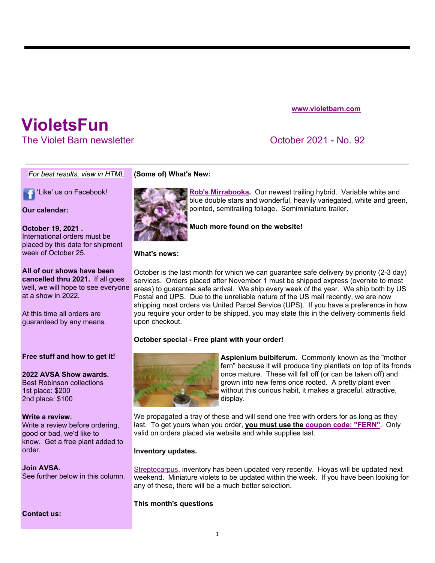**www.violetbarn.com**

# **VioletsFun**

The Violet Barn newsletter October 2021 - No. 92

*For best results, view in HTML*

**T** 'Like' us on Facebook!

**Our calendar:**

**October 19, 2021 .**  International orders must be placed by this date for shipment week of October 25.

**All of our shows have been cancelled thru 2021.** If all goes well, we will hope to see everyone at a show in 2022.

At this time all orders are guaranteed by any means.

### **Free stuff and how to get it!**

**2022 AVSA Show awards.**  Best Robinson collections 1st place: \$200 2nd place: \$100

#### **Write a review.**

Write a review before ordering, good or bad, we'd like to know. Get a free plant added to order.

**Join AVSA.**  See further below in this column.

**Contact us:**

### **(Some of) What's New:**



**Rob's Mirrabooka.** Our newest trailing hybrid. Variable white and blue double stars and wonderful, heavily variegated, white and green, pointed, semitrailing foliage. Semiminiature trailer.

**Much more found on the website!**

**What's news:** 

October is the last month for which we can guarantee safe delivery by priority (2-3 day) services. Orders placed after November 1 must be shipped express (overnite to most areas) to guarantee safe arrival. We ship every week of the year. We ship both by US Postal and UPS. Due to the unreliable nature of the US mail recently, we are now shipping most orders via United Parcel Service (UPS). If you have a preference in how you require your order to be shipped, you may state this in the delivery comments field upon checkout.

## **October special - Free plant with your order!**



**Asplenium bulbiferum.** Commonly known as the "mother fern" because it will produce tiny plantlets on top of its fronds once mature. These will fall off (or can be taken off) and grown into new ferns once rooted. A pretty plant even without this curious habit, it makes a graceful, attractive, display.

We propagated a tray of these and will send one free with orders for as long as they last. To get yours when you order, **you must use the coupon code: "FERN".** Only valid on orders placed via website and while supplies last.

### **Inventory updates.**

Streptocarpus, inventory has been updated very recently. Hoyas will be updated next weekend. Miniature violets to be updated within the week. If you have been looking for any of these, there will be a much better selection.

### **This month's questions**